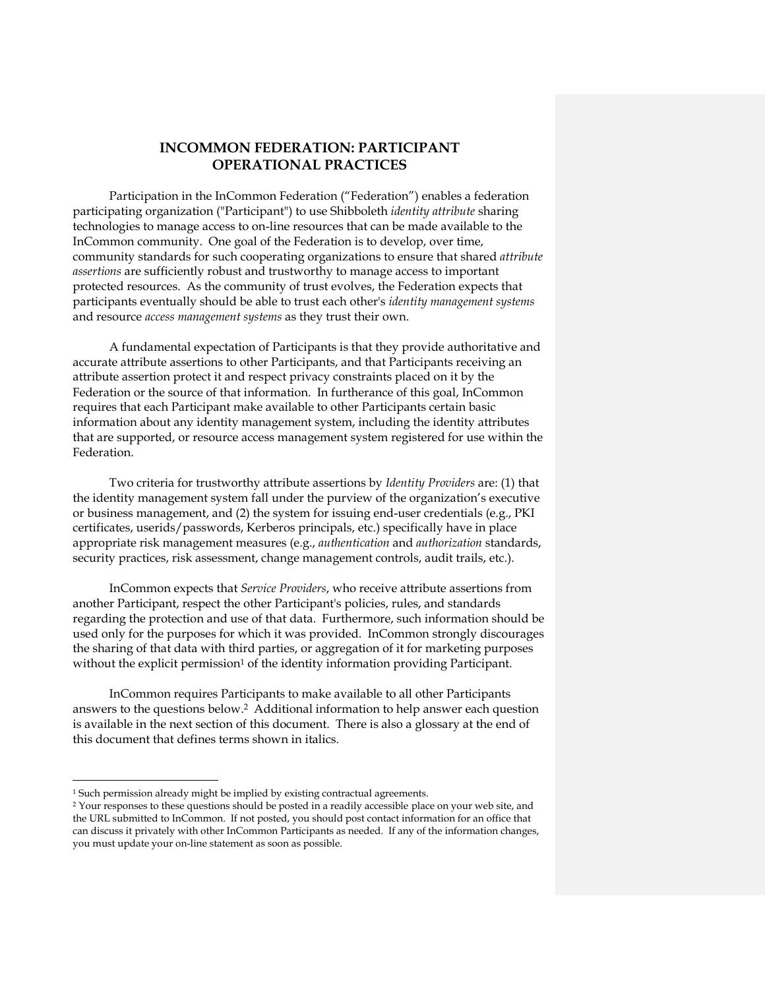Participation in the InCommon Federation ("Federation") enables a federation participating organization ("Participant") to use Shibboleth *identity attribute* sharing technologies to manage access to on-line resources that can be made available to the InCommon community. One goal of the Federation is to develop, over time, community standards for such cooperating organizations to ensure that shared *attribute assertions* are sufficiently robust and trustworthy to manage access to important protected resources. As the community of trust evolves, the Federation expects that participants eventually should be able to trust each other's *identity management systems* and resource *access management systems* as they trust their own.

A fundamental expectation of Participants is that they provide authoritative and accurate attribute assertions to other Participants, and that Participants receiving an attribute assertion protect it and respect privacy constraints placed on it by the Federation or the source of that information. In furtherance of this goal, InCommon requires that each Participant make available to other Participants certain basic information about any identity management system, including the identity attributes that are supported, or resource access management system registered for use within the Federation.

Two criteria for trustworthy attribute assertions by *Identity Providers* are: (1) that the identity management system fall under the purview of the organization's executive or business management, and (2) the system for issuing end-user credentials (e.g., PKI certificates, userids/passwords, Kerberos principals, etc.) specifically have in place appropriate risk management measures (e.g., *authentication* and *authorization* standards, security practices, risk assessment, change management controls, audit trails, etc.).

InCommon expects that *Service Providers*, who receive attribute assertions from another Participant, respect the other Participant's policies, rules, and standards regarding the protection and use of that data. Furthermore, such information should be used only for the purposes for which it was provided. InCommon strongly discourages the sharing of that data with third parties, or aggregation of it for marketing purposes without the explicit permission<sup>1</sup> of the identity information providing Participant.

InCommon requires Participants to make available to all other Participants answers to the questions below.2 Additional information to help answer each question is available in the next section of this document. There is also a glossary at the end of this document that defines terms shown in italics.

j

<sup>&</sup>lt;sup>1</sup> Such permission already might be implied by existing contractual agreements.

<sup>2</sup> Your responses to these questions should be posted in a readily accessible place on your web site, and the URL submitted to InCommon. If not posted, you should post contact information for an office that can discuss it privately with other InCommon Participants as needed. If any of the information changes, you must update your on-line statement as soon as possible.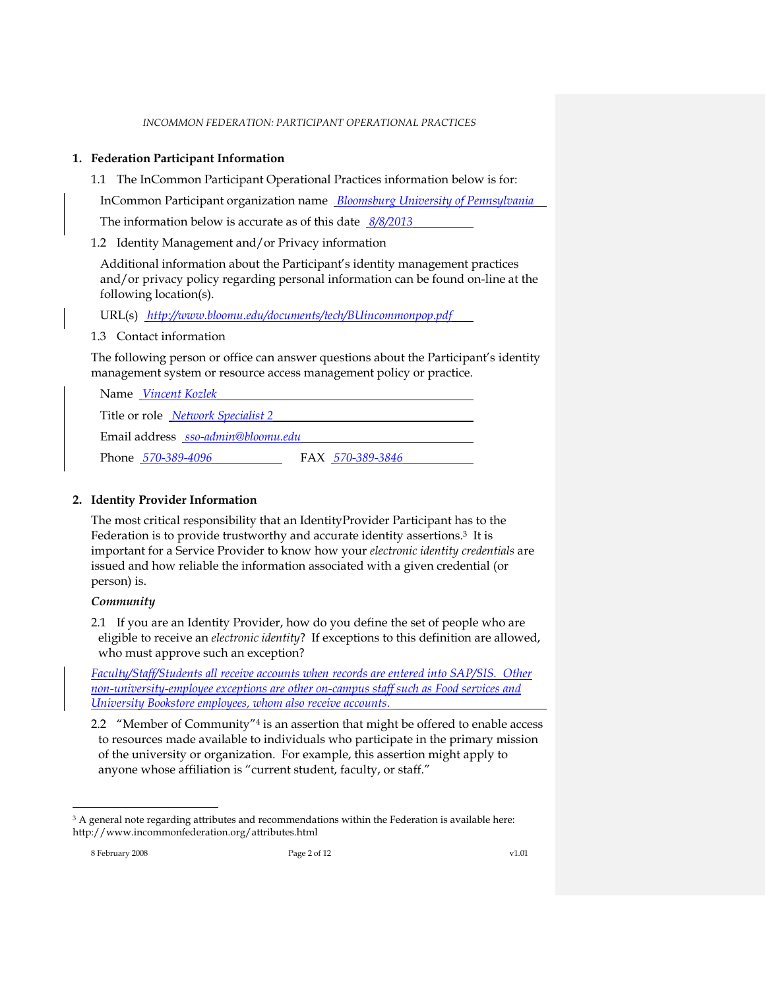### **1. Federation Participant Information**

1.1 The InCommon Participant Operational Practices information below is for:

InCommon Participant organization name *Bloomsburg University of Pennsylvania*

The information below is accurate as of this date *8/8/2013*

<span id="page-1-0"></span>1.2 Identity Management and/or Privacy information

Additional information about the Participant's identity management practices and/or privacy policy regarding personal information can be found on-line at the following location(s).

URL(s) *http://www.bloomu.edu/documents/tech/BUincommonpop.pdf*

<span id="page-1-1"></span>1.3 Contact information

The following person or office can answer questions about the Participant's identity management system or resource access management policy or practice.

| Name Vincent Kozlek                       |                  |
|-------------------------------------------|------------------|
| Title or role <i>Network Specialist</i> 2 |                  |
| Email address sso-admin@bloomu.edu        |                  |
| Phone 570-389-4096                        | FAX 570-389-3846 |

## <span id="page-1-2"></span>**2. Identity Provider Information**

The most critical responsibility that an IdentityProvider Participant has to the Federation is to provide trustworthy and accurate identity assertions.<sup>3</sup> It is important for a Service Provider to know how your *electronic identity credentials* are issued and how reliable the information associated with a given credential (or person) is.

#### *Community*

<span id="page-1-3"></span>2.1 If you are an Identity Provider, how do you define the set of people who are eligible to receive an *electronic identity*? If exceptions to this definition are allowed, who must approve such an exception?

*Faculty/Staff/Students all receive accounts when records are entered into SAP/SIS. Other non-university-employee exceptions are other on-campus staff such as Food services and University Bookstore employees, whom also receive accounts.*

<span id="page-1-4"></span>2.2 *"*Member of Community"<sup>4</sup> is an assertion that might be offered to enable access to resources made available to individuals who participate in the primary mission of the university or organization. For example, this assertion might apply to anyone whose affiliation is "current student, faculty, or staff."

j

<sup>&</sup>lt;sup>3</sup> A general note regarding attributes and recommendations within the Federation is available here: http://www.incommonfederation.org/attributes.html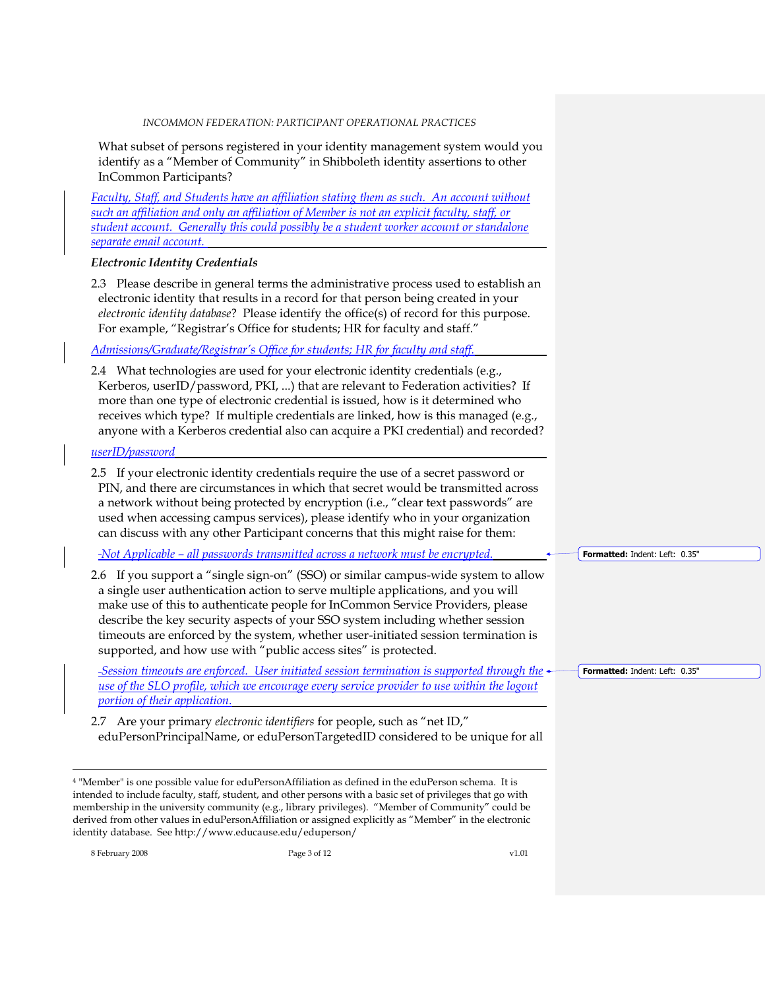What subset of persons registered in your identity management system would you identify as a "Member of Community" in Shibboleth identity assertions to other InCommon Participants?

*Faculty, Staff, and Students have an affiliation stating them as such. An account without such an affiliation and only an affiliation of Member is not an explicit faculty, staff, or student account. Generally this could possibly be a student worker account or standalone separate email account.*

#### *Electronic Identity Credentials*

<span id="page-2-0"></span>2.3 Please describe in general terms the administrative process used to establish an electronic identity that results in a record for that person being created in your *electronic identity database*? Please identify the office(s) of record for this purpose. For example, "Registrar's Office for students; HR for faculty and staff."

*Admissions/Graduate/Registrar's Office for students; HR for faculty and staff.*

<span id="page-2-1"></span>2.4 What technologies are used for your electronic identity credentials (e.g., Kerberos, userID/password, PKI, ...) that are relevant to Federation activities? If more than one type of electronic credential is issued, how is it determined who receives which type? If multiple credentials are linked, how is this managed (e.g., anyone with a Kerberos credential also can acquire a PKI credential) and recorded?

#### *userID/password*

<span id="page-2-2"></span>2.5 If your electronic identity credentials require the use of a secret password or PIN, and there are circumstances in which that secret would be transmitted across a network without being protected by encryption (i.e., "clear text passwords" are used when accessing campus services), please identify who in your organization can discuss with any other Participant concerns that this might raise for them:

*Not Applicable – all passwords transmitted across a network must be encrypted.*

<span id="page-2-3"></span>2.6 If you support a "single sign-on" (SSO) or similar campus-wide system to allow a single user authentication action to serve multiple applications, and you will make use of this to authenticate people for InCommon Service Providers, please describe the key security aspects of your SSO system including whether session timeouts are enforced by the system, whether user-initiated session termination is supported, and how use with "public access sites" is protected.

*Session timeouts are enforced. User initiated session termination is supported through the use of the SLO profile, which we encourage every service provider to use within the logout portion of their application.*

<span id="page-2-4"></span>2.7 Are your primary *electronic identifiers* for people, such as "net ID," eduPersonPrincipalName, or eduPersonTargetedID considered to be unique for all

<sup>4</sup> "Member" is one possible value for eduPersonAffiliation as defined in the eduPerson schema. It is intended to include faculty, staff, student, and other persons with a basic set of privileges that go with membership in the university community (e.g., library privileges). "Member of Community" could be derived from other values in eduPersonAffiliation or assigned explicitly as "Member" in the electronic identity database. See http://www.educause.edu/eduperson/

8 February 2008 Page 3 of 12 v1.01

j

**Formatted:** Indent: Left: 0.35"

**Formatted:** Indent: Left: 0.35"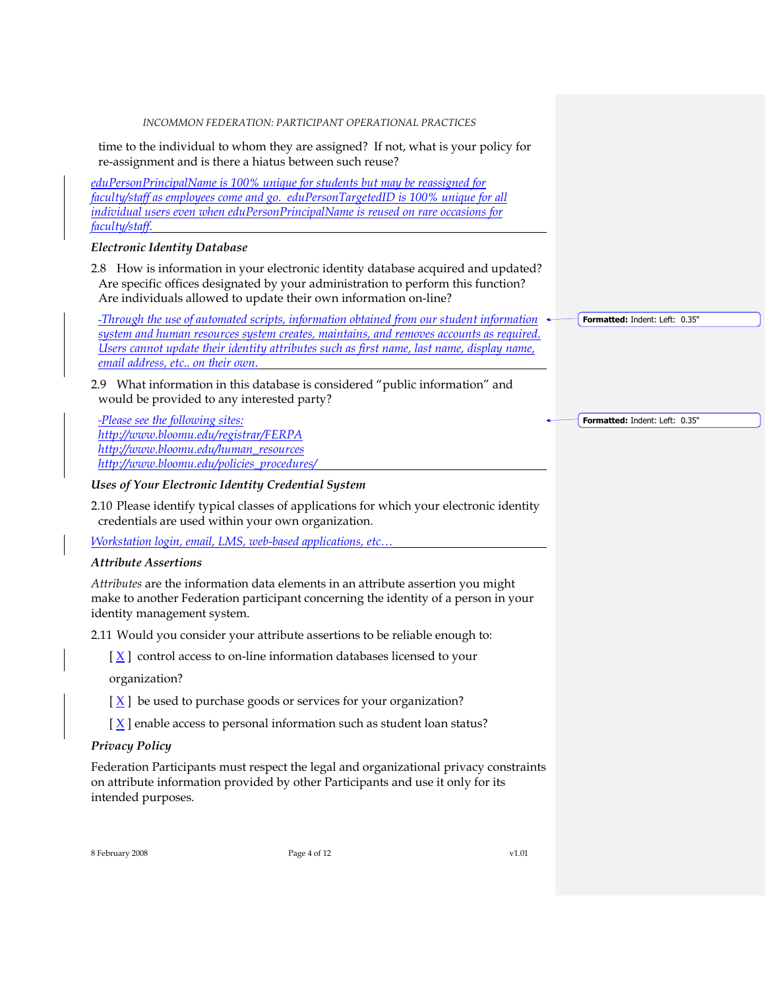time to the individual to whom they are assigned? If not, what is your policy for re-assignment and is there a hiatus between such reuse?

*eduPersonPrincipalName is 100% unique for students but may be reassigned for faculty/staff as employees come and go. eduPersonTargetedID is 100% unique for all individual users even when eduPersonPrincipalName is reused on rare occasions for faculty/staff.*

#### *Electronic Identity Database*

<span id="page-3-0"></span>2.8 How is information in your electronic identity database acquired and updated? Are specific offices designated by your administration to perform this function? Are individuals allowed to update their own information on-line?

*Through the use of automated scripts, information obtained from our student information system and human resources system creates, maintains, and removes accounts as required. Users cannot update their identity attributes such as first name, last name, display name, email address, etc.. on their own.*

<span id="page-3-1"></span>2.9 What information in this database is considered "public information" and would be provided to any interested party?

*Please see the following sites: <http://www.bloomu.edu/registrar/FERPA> [http://www.bloomu.edu/human\\_resources](http://www.bloomu.edu/human_resources) http://www.bloomu.edu/policies\_procedures/*

#### *Uses of Your Electronic Identity Credential System*

<span id="page-3-2"></span>2.10 Please identify typical classes of applications for which your electronic identity credentials are used within your own organization.

*Workstation login, email, LMS, web-based applications, etc…*

#### *Attribute Assertions*

*Attributes* are the information data elements in an attribute assertion you might make to another Federation participant concerning the identity of a person in your identity management system.

<span id="page-3-3"></span>2.11 Would you consider your attribute assertions to be reliable enough to:

 $[\underline{X}]$  control access to on-line information databases licensed to your

organization?

- $[\underline{X}]$  be used to purchase goods or services for your organization?
- $[X]$  enable access to personal information such as student loan status?

#### *Privacy Policy*

Federation Participants must respect the legal and organizational privacy constraints on attribute information provided by other Participants and use it only for its intended purposes.

8 February 2008 Page 4 of 12 v1.01

**Formatted:** Indent: Left: 0.35"

**Formatted:** Indent: Left: 0.35"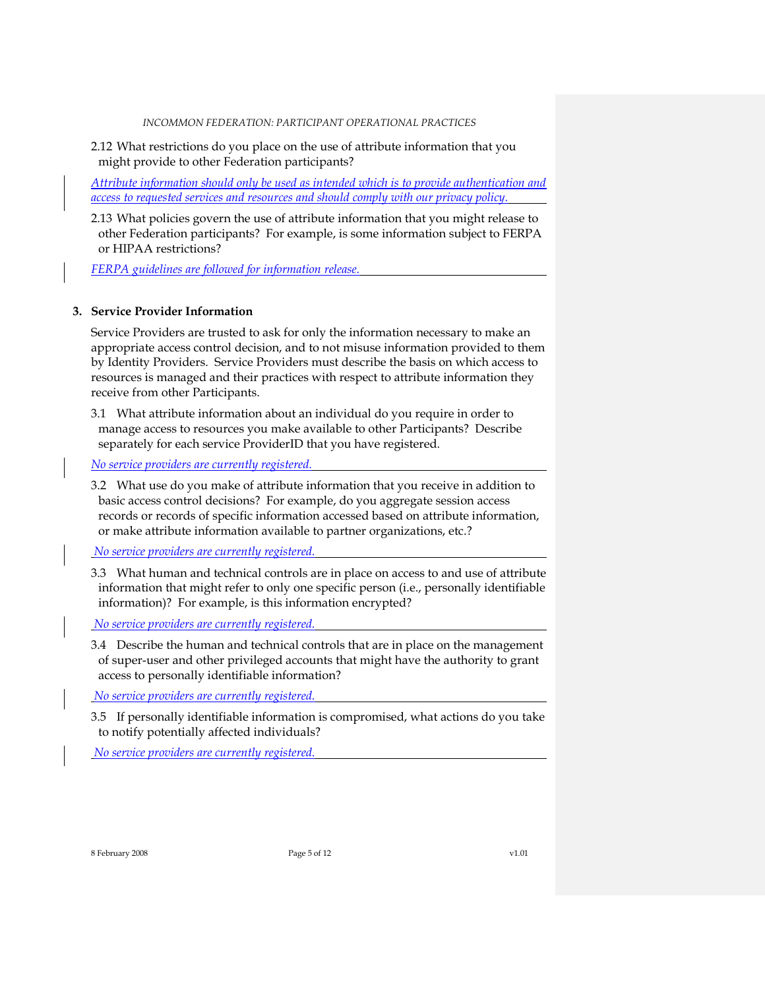<span id="page-4-0"></span>2.12 What restrictions do you place on the use of attribute information that you might provide to other Federation participants?

*Attribute information should only be used as intended which is to provide authentication and access to requested services and resources and should comply with our privacy policy.*

<span id="page-4-1"></span>2.13 What policies govern the use of attribute information that you might release to other Federation participants? For example, is some information subject to FERPA or HIPAA restrictions?

*FERPA guidelines are followed for information release.*

#### **3. Service Provider Information**

Service Providers are trusted to ask for only the information necessary to make an appropriate access control decision, and to not misuse information provided to them by Identity Providers. Service Providers must describe the basis on which access to resources is managed and their practices with respect to attribute information they receive from other Participants.

<span id="page-4-2"></span>3.1 What attribute information about an individual do you require in order to manage access to resources you make available to other Participants? Describe separately for each service ProviderID that you have registered.

*No service providers are currently registered.*

<span id="page-4-3"></span>3.2 What use do you make of attribute information that you receive in addition to basic access control decisions? For example, do you aggregate session access records or records of specific information accessed based on attribute information, or make attribute information available to partner organizations, etc.?

*No service providers are currently registered.*

<span id="page-4-4"></span>3.3 What human and technical controls are in place on access to and use of attribute information that might refer to only one specific person (i.e., personally identifiable information)? For example, is this information encrypted?

*No service providers are currently registered.*

<span id="page-4-5"></span>3.4 Describe the human and technical controls that are in place on the management of super-user and other privileged accounts that might have the authority to grant access to personally identifiable information?

*No service providers are currently registered.*

<span id="page-4-6"></span>3.5 If personally identifiable information is compromised, what actions do you take to notify potentially affected individuals?

*No service providers are currently registered.*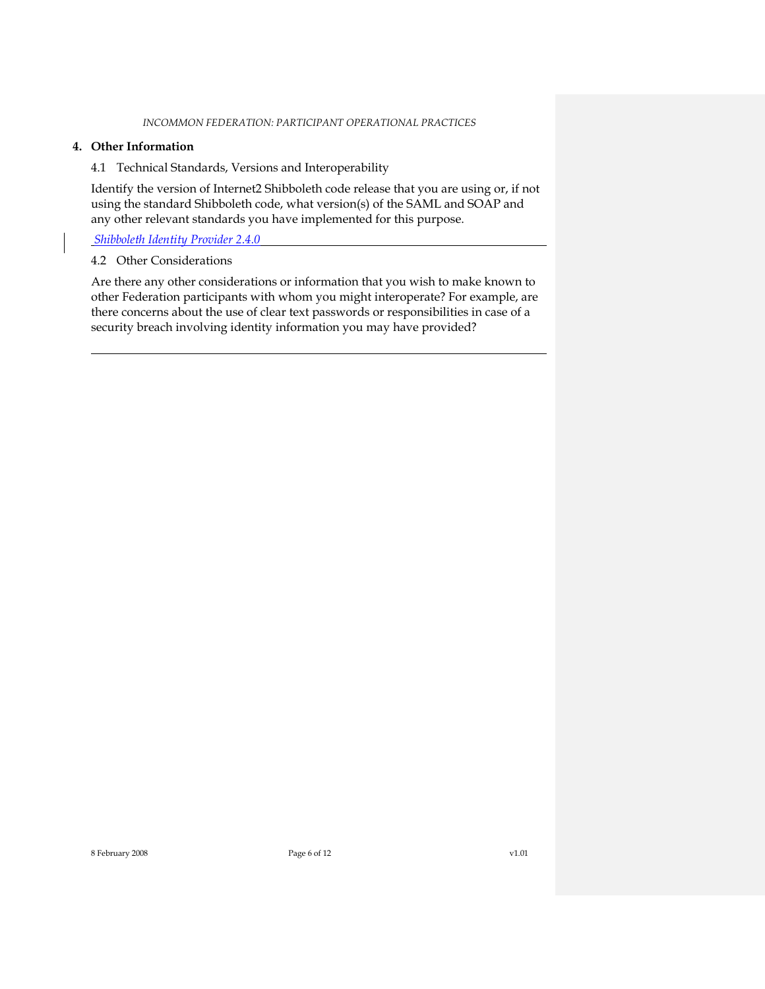## **4. Other Information**

<span id="page-5-0"></span>4.1 Technical Standards, Versions and Interoperability

Identify the version of Internet2 Shibboleth code release that you are using or, if not using the standard Shibboleth code, what version(s) of the SAML and SOAP and any other relevant standards you have implemented for this purpose.

*Shibboleth Identity Provider 2.4.0*

#### <span id="page-5-1"></span>4.2 Other Considerations

Are there any other considerations or information that you wish to make known to other Federation participants with whom you might interoperate? For example, are there concerns about the use of clear text passwords or responsibilities in case of a security breach involving identity information you may have provided?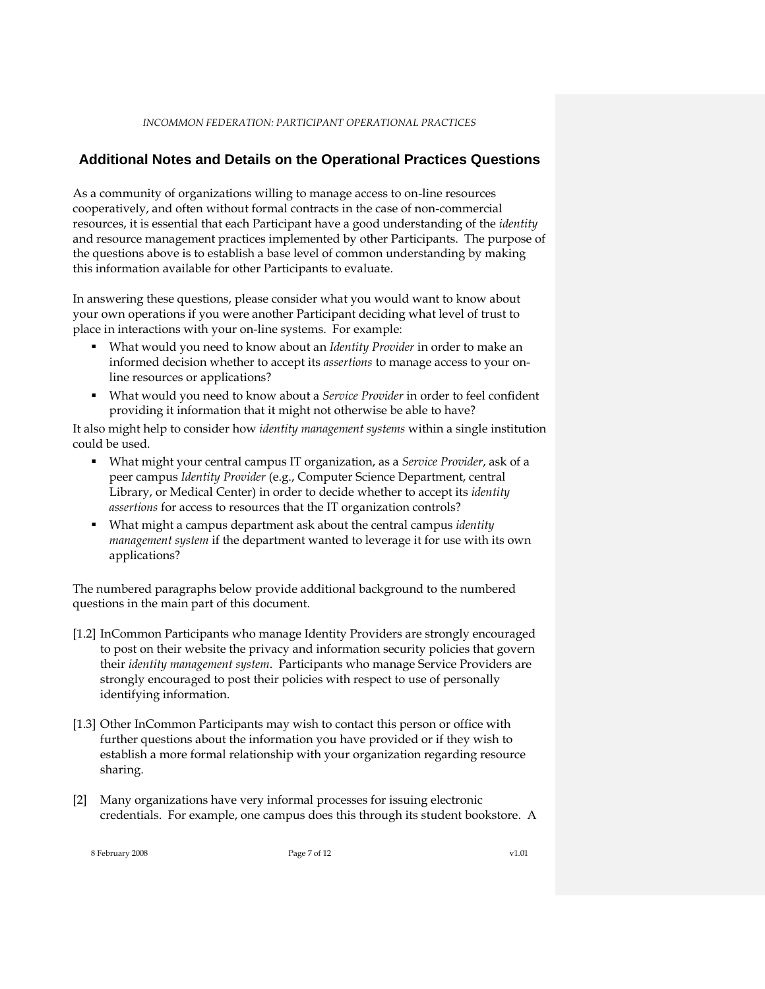## **Additional Notes and Details on the Operational Practices Questions**

As a community of organizations willing to manage access to on-line resources cooperatively, and often without formal contracts in the case of non-commercial resources, it is essential that each Participant have a good understanding of the *identity* and resource management practices implemented by other Participants. The purpose of the questions above is to establish a base level of common understanding by making this information available for other Participants to evaluate.

In answering these questions, please consider what you would want to know about your own operations if you were another Participant deciding what level of trust to place in interactions with your on-line systems. For example:

- What would you need to know about an *Identity Provider* in order to make an informed decision whether to accept its *assertions* to manage access to your online resources or applications?
- What would you need to know about a *Service Provider* in order to feel confident providing it information that it might not otherwise be able to have?

It also might help to consider how *identity management systems* within a single institution could be used.

- What might your central campus IT organization, as a *Service Provider*, ask of a peer campus *Identity Provider* (e.g., Computer Science Department, central Library, or Medical Center) in order to decide whether to accept its *identity assertions* for access to resources that the IT organization controls?
- What might a campus department ask about the central campus *identity management system* if the department wanted to leverage it for use with its own applications?

The numbered paragraphs below provide additional background to the numbered questions in the main part of this document.

- [\[1.2\]](#page-1-0) InCommon Participants who manage Identity Providers are strongly encouraged to post on their website the privacy and information security policies that govern their *identity management system*. Participants who manage Service Providers are strongly encouraged to post their policies with respect to use of personally identifying information.
- [\[1.3\]](#page-1-1) Other InCommon Participants may wish to contact this person or office with further questions about the information you have provided or if they wish to establish a more formal relationship with your organization regarding resource sharing.
- [\[2\]](#page-1-2) Many organizations have very informal processes for issuing electronic credentials. For example, one campus does this through its student bookstore. A

8 February 2008 Page 7 of 12 v1.01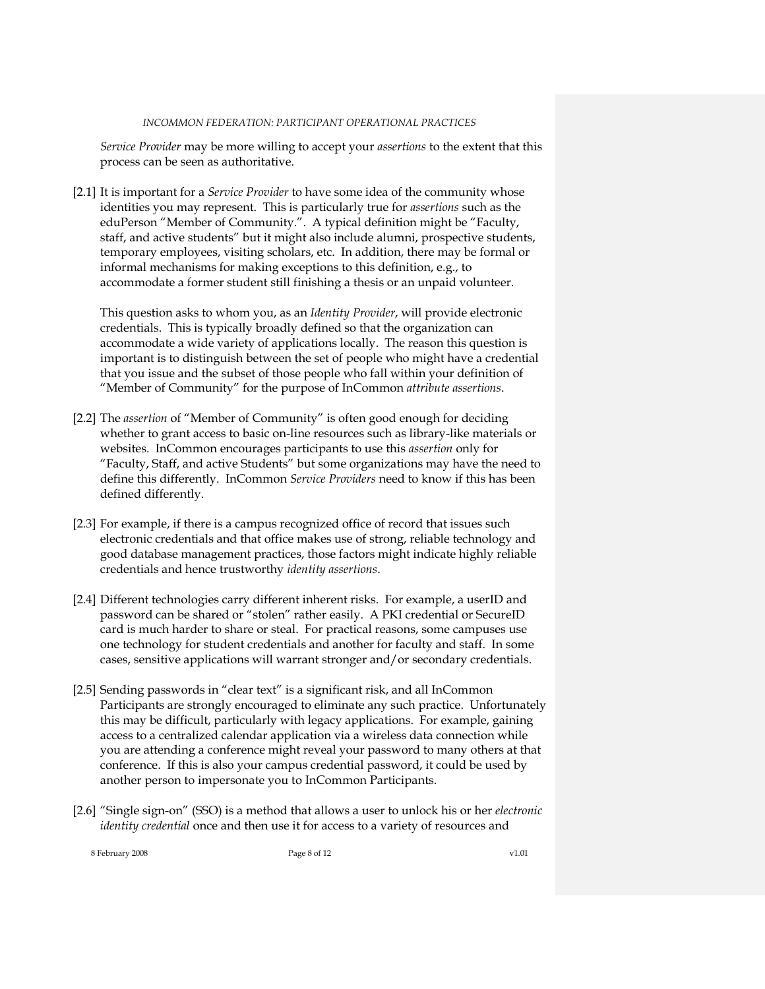*Service Provider* may be more willing to accept your *assertions* to the extent that this process can be seen as authoritative.

[\[2.1\]](#page-1-3) It is important for a *Service Provider* to have some idea of the community whose identities you may represent. This is particularly true for *assertions* such as the eduPerson "Member of Community.". A typical definition might be "Faculty, staff, and active students" but it might also include alumni, prospective students, temporary employees, visiting scholars, etc. In addition, there may be formal or informal mechanisms for making exceptions to this definition, e.g., to accommodate a former student still finishing a thesis or an unpaid volunteer.

This question asks to whom you, as an *Identity Provider*, will provide electronic credentials. This is typically broadly defined so that the organization can accommodate a wide variety of applications locally. The reason this question is important is to distinguish between the set of people who might have a credential that you issue and the subset of those people who fall within your definition of "Member of Community" for the purpose of InCommon *attribute assertions*.

- [\[2.2\]](#page-1-4) The *assertion* of "Member of Community" is often good enough for deciding whether to grant access to basic on-line resources such as library-like materials or websites. InCommon encourages participants to use this *assertion* only for "Faculty, Staff, and active Students" but some organizations may have the need to define this differently. InCommon *Service Providers* need to know if this has been defined differently.
- [\[2.3\]](#page-2-0) For example, if there is a campus recognized office of record that issues such electronic credentials and that office makes use of strong, reliable technology and good database management practices, those factors might indicate highly reliable credentials and hence trustworthy *identity assertions*.
- [\[2.4\]](#page-2-1) Different technologies carry different inherent risks. For example, a userID and password can be shared or "stolen" rather easily. A PKI credential or SecureID card is much harder to share or steal. For practical reasons, some campuses use one technology for student credentials and another for faculty and staff. In some cases, sensitive applications will warrant stronger and/or secondary credentials.
- [\[2.5\]](#page-2-2) Sending passwords in "clear text" is a significant risk, and all InCommon Participants are strongly encouraged to eliminate any such practice. Unfortunately this may be difficult, particularly with legacy applications. For example, gaining access to a centralized calendar application via a wireless data connection while you are attending a conference might reveal your password to many others at that conference. If this is also your campus credential password, it could be used by another person to impersonate you to InCommon Participants.
- [\[2.6\]](#page-2-3) "Single sign-on" (SSO) is a method that allows a user to unlock his or her *electronic identity credential* once and then use it for access to a variety of resources and

8 February 2008 Page 8 of 12 v1.01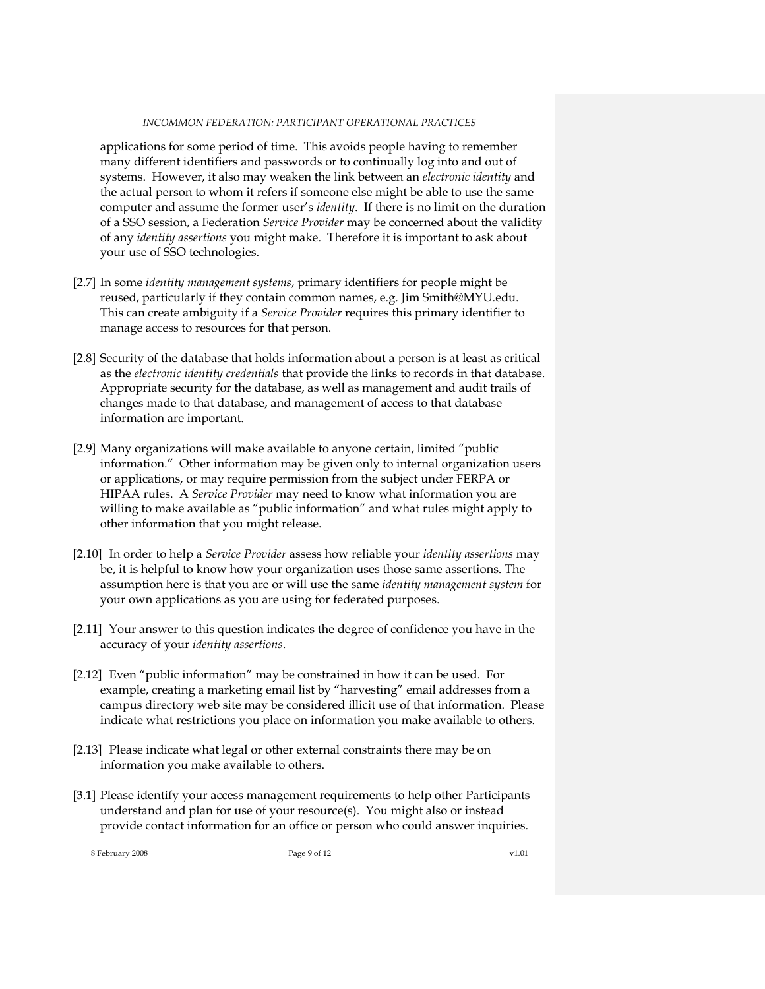applications for some period of time. This avoids people having to remember many different identifiers and passwords or to continually log into and out of systems. However, it also may weaken the link between an *electronic identity* and the actual person to whom it refers if someone else might be able to use the same computer and assume the former user's *identity*. If there is no limit on the duration of a SSO session, a Federation *Service Provider* may be concerned about the validity of any *identity assertions* you might make. Therefore it is important to ask about your use of SSO technologies.

- [\[2.7\]](#page-2-4) In some *identity management systems*, primary identifiers for people might be reused, particularly if they contain common names, e.g. Jim Smith@MYU.edu. This can create ambiguity if a *Service Provider* requires this primary identifier to manage access to resources for that person.
- [\[2.8\]](#page-3-0) Security of the database that holds information about a person is at least as critical as the *electronic identity credentials* that provide the links to records in that database. Appropriate security for the database, as well as management and audit trails of changes made to that database, and management of access to that database information are important.
- [\[2.9\]](#page-3-1) Many organizations will make available to anyone certain, limited "public information." Other information may be given only to internal organization users or applications, or may require permission from the subject under FERPA or HIPAA rules. A *Service Provider* may need to know what information you are willing to make available as "public information" and what rules might apply to other information that you might release.
- [\[2.10\]](#page-3-2) In order to help a *Service Provider* assess how reliable your *identity assertions* may be, it is helpful to know how your organization uses those same assertions. The assumption here is that you are or will use the same *identity management system* for your own applications as you are using for federated purposes.
- [\[2.11\]](#page-3-3) Your answer to this question indicates the degree of confidence you have in the accuracy of your *identity assertions*.
- [\[2.12\]](#page-4-0) Even "public information" may be constrained in how it can be used. For example, creating a marketing email list by "harvesting" email addresses from a campus directory web site may be considered illicit use of that information. Please indicate what restrictions you place on information you make available to others.
- [\[2.13\]](#page-4-1) Please indicate what legal or other external constraints there may be on information you make available to others.
- [\[3.1\]](#page-4-2) Please identify your access management requirements to help other Participants understand and plan for use of your resource(s). You might also or instead provide contact information for an office or person who could answer inquiries.

8 February 2008 Page 9 of 12 v1.01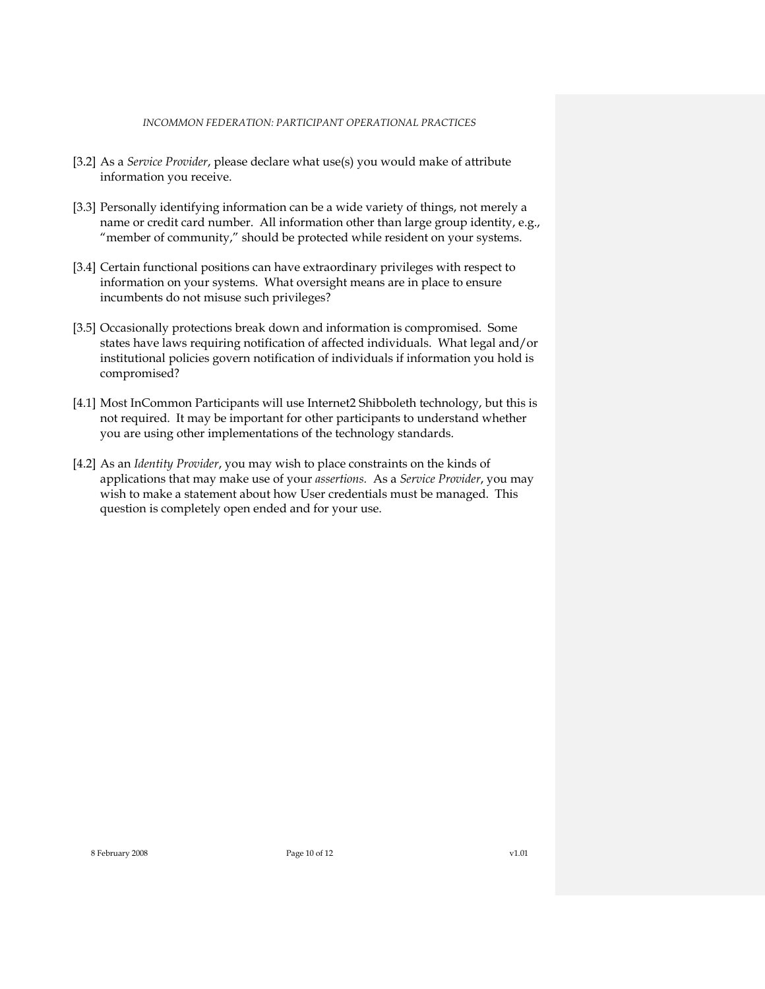- [\[3.2\]](#page-4-3) As a *Service Provider*, please declare what use(s) you would make of attribute information you receive.
- [\[3.3\]](#page-4-4) Personally identifying information can be a wide variety of things, not merely a name or credit card number. All information other than large group identity, e.g., "member of community," should be protected while resident on your systems.
- [\[3.4\]](#page-4-5) Certain functional positions can have extraordinary privileges with respect to information on your systems. What oversight means are in place to ensure incumbents do not misuse such privileges?
- [\[3.5\]](#page-4-6) Occasionally protections break down and information is compromised. Some states have laws requiring notification of affected individuals. What legal and/or institutional policies govern notification of individuals if information you hold is compromised?
- [\[4.1\]](#page-5-0) Most InCommon Participants will use Internet2 Shibboleth technology, but this is not required. It may be important for other participants to understand whether you are using other implementations of the technology standards.
- [\[4.2\]](#page-5-1) As an *Identity Provider*, you may wish to place constraints on the kinds of applications that may make use of your *assertions.* As a *Service Provider*, you may wish to make a statement about how User credentials must be managed. This question is completely open ended and for your use.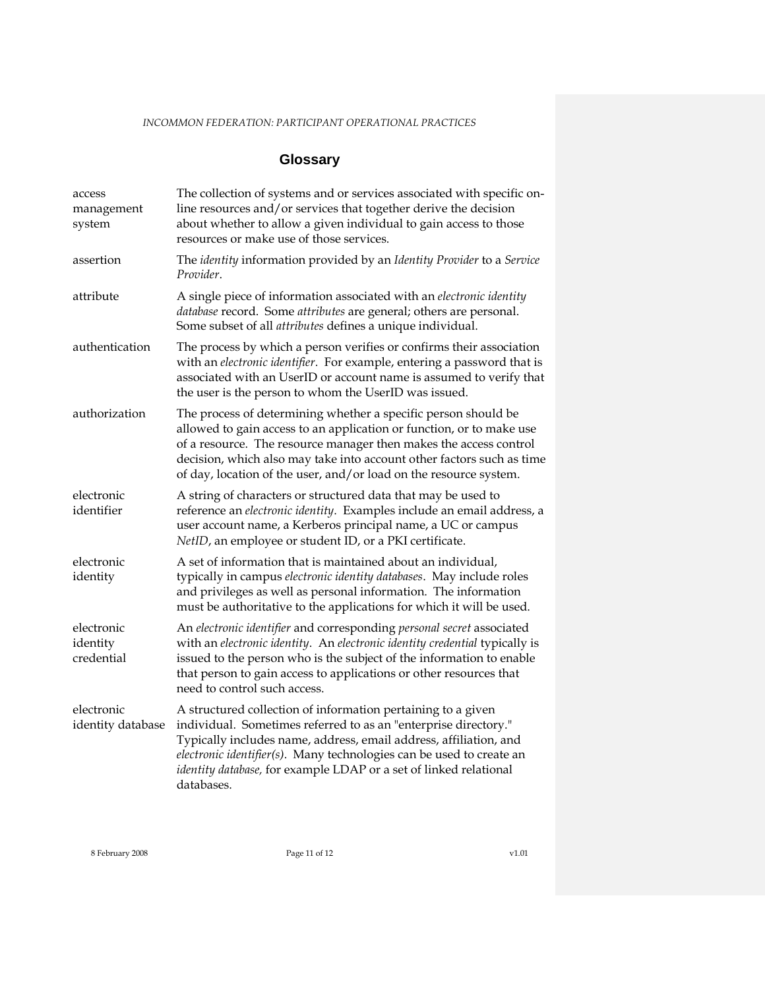# **Glossary**

| access<br>management<br>system       | The collection of systems and or services associated with specific on-<br>line resources and/or services that together derive the decision<br>about whether to allow a given individual to gain access to those<br>resources or make use of those services.                                                                                                     |
|--------------------------------------|-----------------------------------------------------------------------------------------------------------------------------------------------------------------------------------------------------------------------------------------------------------------------------------------------------------------------------------------------------------------|
| assertion                            | The identity information provided by an Identity Provider to a Service<br>Provider.                                                                                                                                                                                                                                                                             |
| attribute                            | A single piece of information associated with an electronic identity<br>database record. Some attributes are general; others are personal.<br>Some subset of all <i>attributes</i> defines a unique individual.                                                                                                                                                 |
| authentication                       | The process by which a person verifies or confirms their association<br>with an electronic identifier. For example, entering a password that is<br>associated with an UserID or account name is assumed to verify that<br>the user is the person to whom the UserID was issued.                                                                                 |
| authorization                        | The process of determining whether a specific person should be<br>allowed to gain access to an application or function, or to make use<br>of a resource. The resource manager then makes the access control<br>decision, which also may take into account other factors such as time<br>of day, location of the user, and/or load on the resource system.       |
| electronic<br>identifier             | A string of characters or structured data that may be used to<br>reference an electronic identity. Examples include an email address, a<br>user account name, a Kerberos principal name, a UC or campus<br>NetID, an employee or student ID, or a PKI certificate.                                                                                              |
| electronic<br>identity               | A set of information that is maintained about an individual,<br>typically in campus electronic identity databases. May include roles<br>and privileges as well as personal information. The information<br>must be authoritative to the applications for which it will be used.                                                                                 |
| electronic<br>identity<br>credential | An electronic identifier and corresponding personal secret associated<br>with an electronic identity. An electronic identity credential typically is<br>issued to the person who is the subject of the information to enable<br>that person to gain access to applications or other resources that<br>need to control such access.                              |
| electronic<br>identity database      | A structured collection of information pertaining to a given<br>individual. Sometimes referred to as an "enterprise directory."<br>Typically includes name, address, email address, affiliation, and<br>electronic identifier(s). Many technologies can be used to create an<br>identity database, for example LDAP or a set of linked relational<br>databases. |

8 February 2008 Page 11 of 12 v1.01